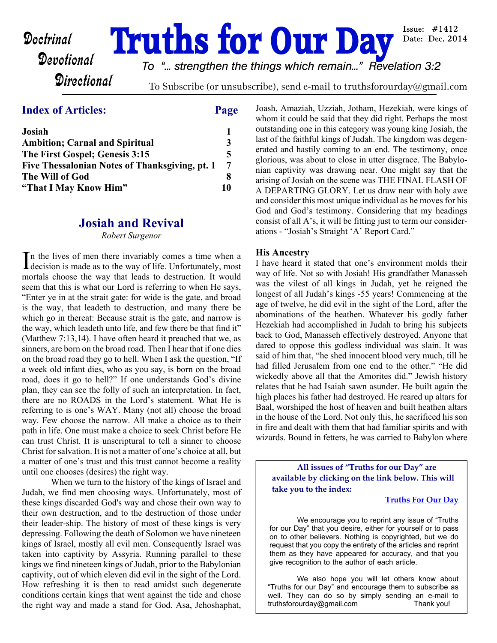# **Doctrinal Truths for Our Day**

*To "... strengthen the things which remain..." Revelation 3:2*

**Directional** 

To Subscribe (or unsubscribe), send e-mail to truthsforourday@gmail.com

### **Index of Articles: Page**

| Josiah                                         |    |
|------------------------------------------------|----|
| <b>Ambition</b> ; Carnal and Spiritual         |    |
| The First Gospel; Genesis 3:15                 |    |
| Five Thessalonian Notes of Thanksgiving, pt. 1 |    |
| The Will of God                                |    |
| "That I May Know Him"                          | 10 |

#### **Josiah and Revival**

*Robert Surgenor*

In the lives of men there invariably comes a time when a decision is made as to the way of life. Unfortunately, most n the lives of men there invariably comes a time when a mortals choose the way that leads to destruction. It would seem that this is what our Lord is referring to when He says, "Enter ye in at the strait gate: for wide is the gate, and broad is the way, that leadeth to destruction, and many there be which go in thereat: Because strait is the gate, and narrow is the way, which leadeth unto life, and few there be that find it" (Matthew 7:13,14). I have often heard it preached that we, as sinners, are born on the broad road. Then I hear that if one dies on the broad road they go to hell. When I ask the question, "If a week old infant dies, who as you say, is born on the broad road, does it go to hell?" If one understands God's divine plan, they can see the folly of such an interpretation. In fact, there are no ROADS in the Lord's statement. What He is referring to is one's WAY. Many (not all) choose the broad way. Few choose the narrow. All make a choice as to their path in life. One must make a choice to seek Christ before He can trust Christ. It is unscriptural to tell a sinner to choose Christ for salvation. It is not a matter of one's choice at all, but a matter of one's trust and this trust cannot become a reality until one chooses (desires) the right way.

 When we turn to the history of the kings of Israel and Judah, we find men choosing ways. Unfortunately, most of these kings discarded God's way and chose their own way to their own destruction, and to the destruction of those under their leader-ship. The history of most of these kings is very depressing. Following the death of Solomon we have nineteen kings of Israel, mostly all evil men. Consequently Israel was taken into captivity by Assyria. Running parallel to these kings we find nineteen kings of Judah, prior to the Babylonian captivity, out of which eleven did evil in the sight of the Lord. How refreshing it is then to read amidst such degenerate conditions certain kings that went against the tide and chose the right way and made a stand for God. Asa, Jehoshaphat, Joash, Amaziah, Uzziah, Jotham, Hezekiah, were kings of whom it could be said that they did right. Perhaps the most outstanding one in this category was young king Josiah, the last of the faithful kings of Judah. The kingdom was degenerated and hastily coming to an end. The testimony, once glorious, was about to close in utter disgrace. The Babylonian captivity was drawing near. One might say that the arising of Josiah on the scene was THE FINAL FLASH OF A DEPARTING GLORY. Let us draw near with holy awe and consider this most unique individual as he moves for his God and God's testimony. Considering that my headings consist of all A's, it will be fitting just to term our considerations - "Josiah's Straight 'A' Report Card."

#### **His Ancestry**

I have heard it stated that one's environment molds their way of life. Not so with Josiah! His grandfather Manasseh was the vilest of all kings in Judah, yet he reigned the longest of all Judah's kings -55 years! Commencing at the age of twelve, he did evil in the sight of the Lord, after the abominations of the heathen. Whatever his godly father Hezekiah had accomplished in Judah to bring his subjects back to God, Manasseh effectively destroyed. Anyone that dared to oppose this godless individual was slain. It was said of him that, "he shed innocent blood very much, till he had filled Jerusalem from one end to the other." "He did wickedly above all that the Amorites did." Jewish history relates that he had Isaiah sawn asunder. He built again the high places his father had destroyed. He reared up altars for Baal, worshiped the host of heaven and built heathen altars in the house of the Lord. Not only this, he sacrificed his son in fire and dealt with them that had familiar spirits and with wizards. Bound in fetters, he was carried to Babylon where

**All issues of "Truths for our Day" are available by clicking on the link below. This will take you to the index:**

#### **[Truths For Our Day](http://truthsforourday.com)**

 We encourage you to reprint any issue of "Truths for our Day" that you desire, either for yourself or to pass on to other believers. Nothing is copyrighted, but we do request that you copy the entirety of the articles and reprint them as they have appeared for accuracy, and that you give recognition to the author of each article.

 We also hope you will let others know about "Truths for our Day" and encourage them to subscribe as well. They can do so by simply sending an e-mail to truthsforourday@gmail.com Thank you!

Issue:  $\#1412$ Date: Dec. 2014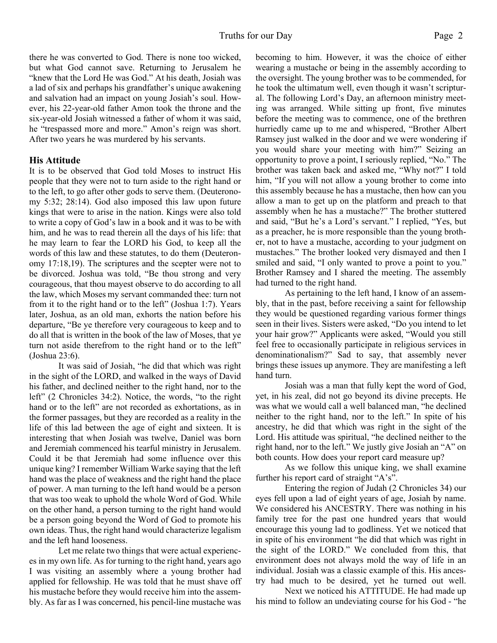there he was converted to God. There is none too wicked, but what God cannot save. Returning to Jerusalem he "knew that the Lord He was God." At his death, Josiah was a lad of six and perhaps his grandfather's unique awakening and salvation had an impact on young Josiah's soul. However, his 22-year-old father Amon took the throne and the six-year-old Josiah witnessed a father of whom it was said, he "trespassed more and more." Amon's reign was short. After two years he was murdered by his servants.

#### **His Attitude**

It is to be observed that God told Moses to instruct His people that they were not to turn aside to the right hand or to the left, to go after other gods to serve them. (Deuteronomy 5:32; 28:14). God also imposed this law upon future kings that were to arise in the nation. Kings were also told to write a copy of God's law in a book and it was to be with him, and he was to read therein all the days of his life: that he may learn to fear the LORD his God, to keep all the words of this law and these statutes, to do them (Deuteronomy 17:18,19). The scriptures and the scepter were not to be divorced. Joshua was told, "Be thou strong and very courageous, that thou mayest observe to do according to all the law, which Moses my servant commanded thee: turn not from it to the right hand or to the left" (Joshua 1:7). Years later, Joshua, as an old man, exhorts the nation before his departure, "Be ye therefore very courageous to keep and to do all that is written in the book of the law of Moses, that ye turn not aside therefrom to the right hand or to the left" (Joshua 23:6).

 It was said of Josiah, "he did that which was right in the sight of the LORD, and walked in the ways of David his father, and declined neither to the right hand, nor to the left" (2 Chronicles 34:2). Notice, the words, "to the right hand or to the left" are not recorded as exhortations, as in the former passages, but they are recorded as a reality in the life of this lad between the age of eight and sixteen. It is interesting that when Josiah was twelve, Daniel was born and Jeremiah commenced his tearful ministry in Jerusalem. Could it be that Jeremiah had some influence over this unique king? I remember William Warke saying that the left hand was the place of weakness and the right hand the place of power. A man turning to the left hand would be a person that was too weak to uphold the whole Word of God. While on the other hand, a person turning to the right hand would be a person going beyond the Word of God to promote his own ideas. Thus, the right hand would characterize legalism and the left hand looseness.

 Let me relate two things that were actual experiences in my own life. As for turning to the right hand, years ago I was visiting an assembly where a young brother had applied for fellowship. He was told that he must shave off his mustache before they would receive him into the assembly. As far as I was concerned, his pencil-line mustache was

becoming to him. However, it was the choice of either wearing a mustache or being in the assembly according to the oversight. The young brother was to be commended, for he took the ultimatum well, even though it wasn't scriptural. The following Lord's Day, an afternoon ministry meeting was arranged. While sitting up front, five minutes before the meeting was to commence, one of the brethren hurriedly came up to me and whispered, "Brother Albert Ramsey just walked in the door and we were wondering if you would share your meeting with him?" Seizing an opportunity to prove a point, I seriously replied, "No." The brother was taken back and asked me, "Why not?" I told him, "If you will not allow a young brother to come into this assembly because he has a mustache, then how can you allow a man to get up on the platform and preach to that assembly when he has a mustache?" The brother stuttered and said, "But he's a Lord's servant." I replied, "Yes, but as a preacher, he is more responsible than the young brother, not to have a mustache, according to your judgment on mustaches." The brother looked very dismayed and then I smiled and said, "I only wanted to prove a point to you." Brother Ramsey and I shared the meeting. The assembly had turned to the right hand.

 As pertaining to the left hand, I know of an assembly, that in the past, before receiving a saint for fellowship they would be questioned regarding various former things seen in their lives. Sisters were asked, "Do you intend to let your hair grow?" Applicants were asked, "Would you still feel free to occasionally participate in religious services in denominationalism?" Sad to say, that assembly never brings these issues up anymore. They are manifesting a left hand turn.

 Josiah was a man that fully kept the word of God, yet, in his zeal, did not go beyond its divine precepts. He was what we would call a well balanced man, "he declined neither to the right hand, nor to the left." In spite of his ancestry, he did that which was right in the sight of the Lord. His attitude was spiritual, "he declined neither to the right hand, nor to the left." We justly give Josiah an "A" on both counts. How does your report card measure up?

 As we follow this unique king, we shall examine further his report card of straight "A's".

 Entering the region of Judah (2 Chronicles 34) our eyes fell upon a lad of eight years of age, Josiah by name. We considered his ANCESTRY. There was nothing in his family tree for the past one hundred years that would encourage this young lad to godliness. Yet we noticed that in spite of his environment "he did that which was right in the sight of the LORD." We concluded from this, that environment does not always mold the way of life in an individual. Josiah was a classic example of this. His ancestry had much to be desired, yet he turned out well.

 Next we noticed his ATTITUDE. He had made up his mind to follow an undeviating course for his God - "he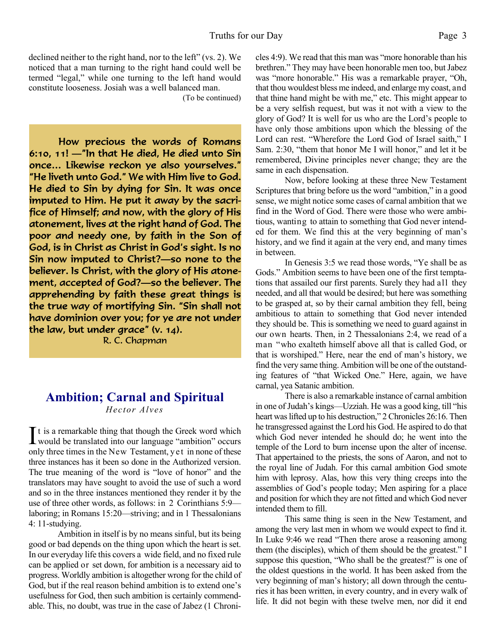declined neither to the right hand, nor to the left" (vs. 2). We noticed that a man turning to the right hand could well be termed "legal," while one turning to the left hand would constitute looseness. Josiah was a well balanced man.

(To be continued)

How precious the words of Romans  $6:10, 11!$  - Th that He died, He died unto Sin once... Likewise reckon ye also yourselves." "He liveth unto God." We with Him live to God. He died to Sin by dying for Sin. It was once imputed to Him. He put it away by the sacrifice of Himself; and now, with the glory of His atonement, lives at the right hand of God. The poor and needy one, by faith in the Son of God, is in Christ as Christ in God's sight. Is no Sin now imputed to Christ? so none to the believer. Is Christ, with the glory of His atonement, accepted of God?—so the believer. The apprehending by faith these great things is the true way of mortifying Sin. "Sin shall not have dominion over you; for ye are not under the law, but under grace"  $(v. 14)$ . R. C. Chapman

#### **Ambition; Carnal and Spiritual** *Hector Alves*

 $\prod$ t is a remarkable thing that though the Greek word which<br>would be translated into our language "ambition" occurs would be translated into our language "ambition" occurs only three times in the New Testament, yet in none of these three instances has it been so done in the Authorized version. The true meaning of the word is "love of honor" and the translators may have sought to avoid the use of such a word and so in the three instances mentioned they render it by the use of three other words, as follows: in 2 Corinthians 5:9 laboring; in Romans 15:20—striving; and in 1 Thessalonians 4: 11-studying.

 Ambition in itself is by no means sinful, but its being good or bad depends on the thing upon which the heart is set. In our everyday life this covers a wide field, and no fixed rule can be applied or set down, for ambition is a necessary aid to progress. Worldly ambition is altogether wrong for the child of God, but if the real reason behind ambition is to extend one's usefulness for God, then such ambition is certainly commendable. This, no doubt, was true in the case of Jabez (1 Chronicles 4:9). We read that this man was "more honorable than his brethren." They may have been honorable men too, but Jabez was "more honorable." His was a remarkable prayer, "Oh, that thou wouldest bless me indeed, and enlarge my coast, and that thine hand might be with me," etc. This might appear to be a very selfish request, but was it not with a view to the glory of God? It is well for us who are the Lord's people to have only those ambitions upon which the blessing of the Lord can rest. "Wherefore the Lord God of Israel saith," I Sam. 2:30, "them that honor Me I will honor," and let it be remembered, Divine principles never change; they are the same in each dispensation.

 Now, before looking at these three New Testament Scriptures that bring before us the word "ambition," in a good sense, we might notice some cases of carnal ambition that we find in the Word of God. There were those who were ambitious, wanting to attain to something that God never intended for them. We find this at the very beginning of man's history, and we find it again at the very end, and many times in between.

 In Genesis 3:5 we read those words, "Ye shall be as Gods." Ambition seems to have been one of the first temptations that assailed our first parents. Surely they had all they needed, and all that would be desired; but here was something to be grasped at, so by their carnal ambition they fell, being ambitious to attain to something that God never intended they should be. This is something we need to guard against in our own hearts. Then, in 2 Thessalonians 2:4, we read of a man "who exalteth himself above all that is called God, or that is worshiped." Here, near the end of man's history, we find the very same thing. Ambition will be one of the outstanding features of "that Wicked One." Here, again, we have carnal, yea Satanic ambition.

 There is also a remarkable instance of carnal ambition in one of Judah's kings—Uzziah. He was a good king, till "his heart was lifted up to his destruction," 2 Chronicles 26:16. Then he transgressed against the Lord his God. He aspired to do that which God never intended he should do; he went into the temple of the Lord to burn incense upon the alter of incense. That appertained to the priests, the sons of Aaron, and not to the royal line of Judah. For this carnal ambition God smote him with leprosy. Alas, how this very thing creeps into the assemblies of God's people today; Men aspiring for a place and position for which they are not fitted and which God never intended them to fill.

 This same thing is seen in the New Testament, and among the very last men in whom we would expect to find it. In Luke 9:46 we read "Then there arose a reasoning among them (the disciples), which of them should be the greatest." I suppose this question, "Who shall be the greatest?" is one of the oldest questions in the world. It has been asked from the very beginning of man's history; all down through the centuries it has been written, in every country, and in every walk of life. It did not begin with these twelve men, nor did it end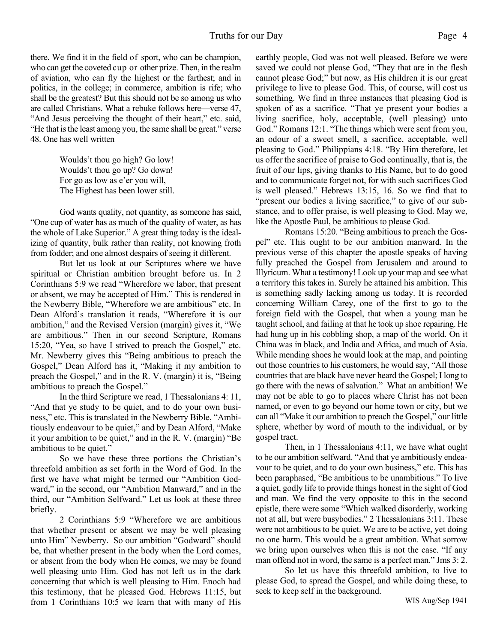there. We find it in the field of sport, who can be champion, who can get the coveted cup or other prize. Then, in the realm of aviation, who can fly the highest or the farthest; and in politics, in the college; in commerce, ambition is rife; who shall be the greatest? But this should not be so among us who are called Christians. What a rebuke follows here—verse 47, "And Jesus perceiving the thought of their heart," etc. said, "He that is the least among you, the same shall be great." verse 48. One has well written

> Woulds't thou go high? Go low! Woulds't thou go up? Go down! For go as low as e'er you will, The Highest has been lower still.

 God wants quality, not quantity, as someone has said, "One cup of water has as much of the quality of water, as has the whole of Lake Superior." A great thing today is the idealizing of quantity, bulk rather than reality, not knowing froth from fodder; and one almost despairs of seeing it different.

 But let us look at our Scriptures where we have spiritual or Christian ambition brought before us. In 2 Corinthians 5:9 we read "Wherefore we labor, that present or absent, we may be accepted of Him." This is rendered in the Newberry Bible, "Wherefore we are ambitious" etc. In Dean Alford's translation it reads, "Wherefore it is our ambition," and the Revised Version (margin) gives it, "We are ambitious." Then in our second Scripture, Romans 15:20, "Yea, so have I strived to preach the Gospel," etc. Mr. Newberry gives this "Being ambitious to preach the Gospel," Dean Alford has it, "Making it my ambition to preach the Gospel," and in the R. V. (margin) it is, "Being ambitious to preach the Gospel."

 In the third Scripture we read, 1 Thessalonians 4: 11, "And that ye study to be quiet, and to do your own business," etc. This is translated in the Newberry Bible, "Ambitiously endeavour to be quiet," and by Dean Alford, "Make it your ambition to be quiet," and in the R. V. (margin) "Be ambitious to be quiet."

 So we have these three portions the Christian's threefold ambition as set forth in the Word of God. In the first we have what might be termed our "Ambition Godward," in the second, our "Ambition Manward," and in the third, our "Ambition Selfward." Let us look at these three briefly.

 2 Corinthians 5:9 "Wherefore we are ambitious that whether present or absent we may be well pleasing unto Him" Newberry. So our ambition "Godward" should be, that whether present in the body when the Lord comes, or absent from the body when He comes, we may be found well pleasing unto Him. God has not left us in the dark concerning that which is well pleasing to Him. Enoch had this testimony, that he pleased God. Hebrews 11:15, but from 1 Corinthians 10:5 we learn that with many of His

earthly people, God was not well pleased. Before we were saved we could not please God, "They that are in the flesh cannot please God;" but now, as His children it is our great privilege to live to please God. This, of course, will cost us something. We find in three instances that pleasing God is spoken of as a sacrifice. "That ye present your bodies a living sacrifice, holy, acceptable, (well pleasing) unto God." Romans 12:1. "The things which were sent from you, an odour of a sweet smell, a sacrifice, acceptable, well pleasing to God." Philippians 4:18. "By Him therefore, let us offer the sacrifice of praise to God continually, that is, the fruit of our lips, giving thanks to His Name, but to do good and to communicate forget not, for with such sacrifices God is well pleased." Hebrews 13:15, 16. So we find that to "present our bodies a living sacrifice," to give of our substance, and to offer praise, is well pleasing to God. May we, like the Apostle Paul, be ambitious to please God.

 Romans 15:20. "Being ambitious to preach the Gospel" etc. This ought to be our ambition manward. In the previous verse of this chapter the apostle speaks of having fully preached the Gospel from Jerusalem and around to Illyricum. What a testimony! Look up your map and see what a territory this takes in. Surely he attained his ambition. This is something sadly lacking among us today. It is recorded concerning William Carey, one of the first to go to the foreign field with the Gospel, that when a young man he taught school, and failing at that he took up shoe repairing. He had hung up in his cobbling shop, a map of the world. On it China was in black, and India and Africa, and much of Asia. While mending shoes he would look at the map, and pointing out those countries to his customers, he would say, "All those countries that are black have never heard the Gospel; I long to go there with the news of salvation." What an ambition! We may not be able to go to places where Christ has not been named, or even to go beyond our home town or city, but we can all "Make it our ambition to preach the Gospel," our little sphere, whether by word of mouth to the individual, or by gospel tract.

 Then, in 1 Thessalonians 4:11, we have what ought to be our ambition selfward. "And that ye ambitiously endeavour to be quiet, and to do your own business," etc. This has been paraphased, "Be ambitious to be unambitious." To live a quiet, godly life to provide things honest in the sight of God and man. We find the very opposite to this in the second epistle, there were some "Which walked disorderly, working not at all, but were busybodies." 2 Thessalonians 3:11. These were not ambitious to be quiet. We are to be active, yet doing no one harm. This would be a great ambition. What sorrow we bring upon ourselves when this is not the case. "If any man offend not in word, the same is a perfect man." Jms 3: 2.

 So let us have this threefold ambition, to live to please God, to spread the Gospel, and while doing these, to seek to keep self in the background.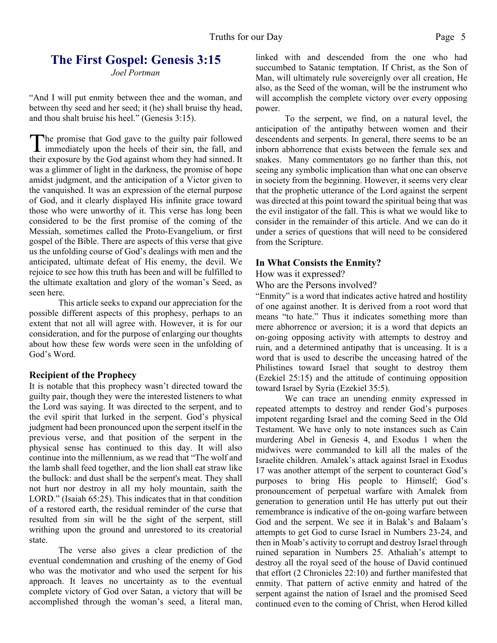# **The First Gospel: Genesis 3:15**

*Joel Portman*

"And I will put enmity between thee and the woman, and between thy seed and her seed; it (he) shall bruise thy head, and thou shalt bruise his heel." (Genesis 3:15).

The promise that God gave to the guilty pair followed<br>immediately upon the heels of their sin, the fall, and he promise that God gave to the guilty pair followed their exposure by the God against whom they had sinned. It was a glimmer of light in the darkness, the promise of hope amidst judgment, and the anticipation of a Victor given to the vanquished. It was an expression of the eternal purpose of God, and it clearly displayed His infinite grace toward those who were unworthy of it. This verse has long been considered to be the first promise of the coming of the Messiah, sometimes called the Proto-Evangelium, or first gospel of the Bible. There are aspects of this verse that give us the unfolding course of God's dealings with men and the anticipated, ultimate defeat of His enemy, the devil. We rejoice to see how this truth has been and will be fulfilled to the ultimate exaltation and glory of the woman's Seed, as seen here.

 This article seeks to expand our appreciation for the possible different aspects of this prophesy, perhaps to an extent that not all will agree with. However, it is for our consideration, and for the purpose of enlarging our thoughts about how these few words were seen in the unfolding of God's Word.

#### **Recipient of the Prophecy**

It is notable that this prophecy wasn't directed toward the guilty pair, though they were the interested listeners to what the Lord was saying. It was directed to the serpent, and to the evil spirit that lurked in the serpent. God's physical judgment had been pronounced upon the serpent itself in the previous verse, and that position of the serpent in the physical sense has continued to this day. It will also continue into the millennium, as we read that "The wolf and the lamb shall feed together, and the lion shall eat straw like the bullock: and dust shall be the serpent's meat. They shall not hurt nor destroy in all my holy mountain, saith the LORD." (Isaiah 65:25). This indicates that in that condition of a restored earth, the residual reminder of the curse that resulted from sin will be the sight of the serpent, still writhing upon the ground and unrestored to its creatorial state.

 The verse also gives a clear prediction of the eventual condemnation and crushing of the enemy of God who was the motivator and who used the serpent for his approach. It leaves no uncertainty as to the eventual complete victory of God over Satan, a victory that will be accomplished through the woman's seed, a literal man, linked with and descended from the one who had succumbed to Satanic temptation. If Christ, as the Son of Man, will ultimately rule sovereignly over all creation, He also, as the Seed of the woman, will be the instrument who will accomplish the complete victory over every opposing power.

 To the serpent, we find, on a natural level, the anticipation of the antipathy between women and their descendents and serpents. In general, there seems to be an inborn abhorrence that exists between the female sex and snakes. Many commentators go no farther than this, not seeing any symbolic implication than what one can observe in society from the beginning. However, it seems very clear that the prophetic utterance of the Lord against the serpent was directed at this point toward the spiritual being that was the evil instigator of the fall. This is what we would like to consider in the remainder of this article. And we can do it under a series of questions that will need to be considered from the Scripture.

#### **In What Consists the Enmity?**

How was it expressed?

Who are the Persons involved?

"Enmity" is a word that indicates active hatred and hostility of one against another. It is derived from a root word that means "to hate." Thus it indicates something more than mere abhorrence or aversion; it is a word that depicts an on-going opposing activity with attempts to destroy and ruin, and a determined antipathy that is unceasing. It is a word that is used to describe the unceasing hatred of the Philistines toward Israel that sought to destroy them (Ezekiel 25:15) and the attitude of continuing opposition toward Israel by Syria (Ezekiel 35:5).

 We can trace an unending enmity expressed in repeated attempts to destroy and render God's purposes impotent regarding Israel and the coming Seed in the Old Testament. We have only to note instances such as Cain murdering Abel in Genesis 4, and Exodus 1 when the midwives were commanded to kill all the males of the Israelite children. Amalek's attack against Israel in Exodus 17 was another attempt of the serpent to counteract God's purposes to bring His people to Himself; God's pronouncement of perpetual warfare with Amalek from generation to generation until He has utterly put out their remembrance is indicative of the on-going warfare between God and the serpent. We see it in Balak's and Balaam's attempts to get God to curse Israel in Numbers 23-24, and then in Moab's activity to corrupt and destroy Israel through ruined separation in Numbers 25. Athaliah's attempt to destroy all the royal seed of the house of David continued that effort (2 Chronicles 22:10) and further manifested that enmity. That pattern of active enmity and hatred of the serpent against the nation of Israel and the promised Seed continued even to the coming of Christ, when Herod killed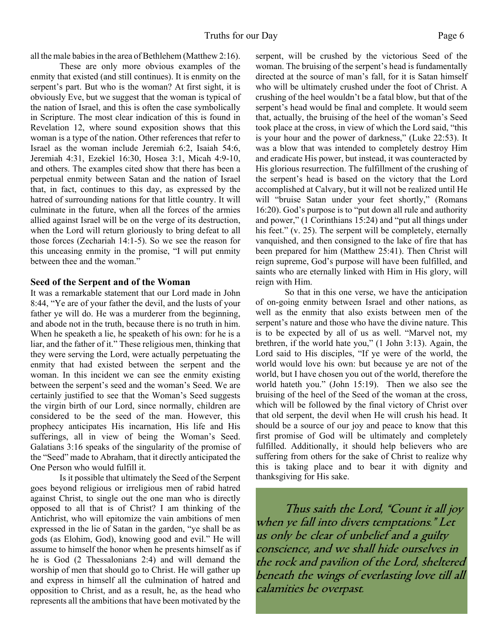all the male babies in the area of Bethlehem (Matthew 2:16).

 These are only more obvious examples of the enmity that existed (and still continues). It is enmity on the serpent's part. But who is the woman? At first sight, it is obviously Eve, but we suggest that the woman is typical of the nation of Israel, and this is often the case symbolically in Scripture. The most clear indication of this is found in Revelation 12, where sound exposition shows that this woman is a type of the nation. Other references that refer to Israel as the woman include Jeremiah 6:2, Isaiah 54:6, Jeremiah 4:31, Ezekiel 16:30, Hosea 3:1, Micah 4:9-10, and others. The examples cited show that there has been a perpetual enmity between Satan and the nation of Israel that, in fact, continues to this day, as expressed by the hatred of surrounding nations for that little country. It will culminate in the future, when all the forces of the armies allied against Israel will be on the verge of its destruction, when the Lord will return gloriously to bring defeat to all those forces (Zechariah 14:1-5). So we see the reason for this unceasing enmity in the promise, "I will put enmity between thee and the woman."

#### **Seed of the Serpent and of the Woman**

It was a remarkable statement that our Lord made in John 8:44, "Ye are of your father the devil, and the lusts of your father ye will do. He was a murderer from the beginning, and abode not in the truth, because there is no truth in him. When he speaketh a lie, he speaketh of his own: for he is a liar, and the father of it." These religious men, thinking that they were serving the Lord, were actually perpetuating the enmity that had existed between the serpent and the woman. In this incident we can see the enmity existing between the serpent's seed and the woman's Seed. We are certainly justified to see that the Woman's Seed suggests the virgin birth of our Lord, since normally, children are considered to be the seed of the man. However, this prophecy anticipates His incarnation, His life and His sufferings, all in view of being the Woman's Seed. Galatians 3:16 speaks of the singularity of the promise of the "Seed" made to Abraham, that it directly anticipated the One Person who would fulfill it.

 Is it possible that ultimately the Seed of the Serpent goes beyond religious or irreligious men of rabid hatred against Christ, to single out the one man who is directly opposed to all that is of Christ? I am thinking of the Antichrist, who will epitomize the vain ambitions of men expressed in the lie of Satan in the garden, "ye shall be as gods (as Elohim, God), knowing good and evil." He will assume to himself the honor when he presents himself as if he is God (2 Thessalonians 2:4) and will demand the worship of men that should go to Christ. He will gather up and express in himself all the culmination of hatred and opposition to Christ, and as a result, he, as the head who represents all the ambitions that have been motivated by the

serpent, will be crushed by the victorious Seed of the woman. The bruising of the serpent's head is fundamentally directed at the source of man's fall, for it is Satan himself who will be ultimately crushed under the foot of Christ. A crushing of the heel wouldn't be a fatal blow, but that of the serpent's head would be final and complete. It would seem that, actually, the bruising of the heel of the woman's Seed took place at the cross, in view of which the Lord said, "this is your hour and the power of darkness," (Luke 22:53). It was a blow that was intended to completely destroy Him and eradicate His power, but instead, it was counteracted by His glorious resurrection. The fulfillment of the crushing of the serpent's head is based on the victory that the Lord accomplished at Calvary, but it will not be realized until He will "bruise Satan under your feet shortly," (Romans 16:20). God's purpose is to "put down all rule and authority and power," (1 Corinthians 15:24) and "put all things under his feet." (v. 25). The serpent will be completely, eternally vanquished, and then consigned to the lake of fire that has been prepared for him (Matthew 25:41). Then Christ will reign supreme, God's purpose will have been fulfilled, and saints who are eternally linked with Him in His glory, will reign with Him.

 So that in this one verse, we have the anticipation of on-going enmity between Israel and other nations, as well as the enmity that also exists between men of the serpent's nature and those who have the divine nature. This is to be expected by all of us as well. "Marvel not, my brethren, if the world hate you," (1 John 3:13). Again, the Lord said to His disciples, "If ye were of the world, the world would love his own: but because ye are not of the world, but I have chosen you out of the world, therefore the world hateth you." (John 15:19). Then we also see the bruising of the heel of the Seed of the woman at the cross, which will be followed by the final victory of Christ over that old serpent, the devil when He will crush his head. It should be a source of our joy and peace to know that this first promise of God will be ultimately and completely fulfilled. Additionally, it should help believers who are suffering from others for the sake of Christ to realize why this is taking place and to bear it with dignity and thanksgiving for His sake.

Thus saith the Lord, "Count it all joy when ye fall into divers temptations." Let us only be clear of unbelief and a guilty conscience, and we shall hide ourselves in the rock and pavilion of the Lord, sheltered beneath the wings of everlasting love till all calamities be overpast.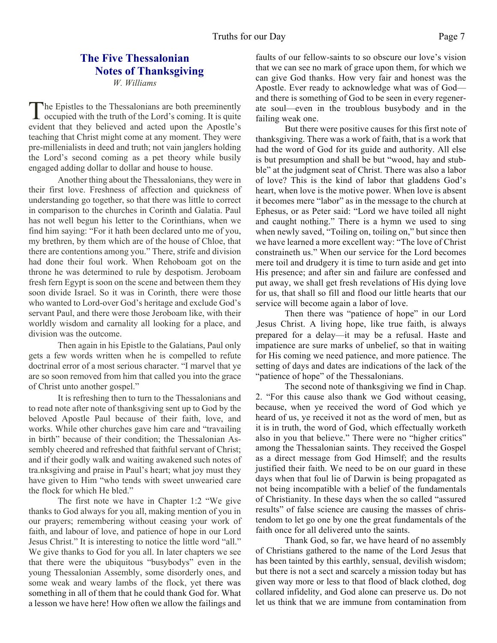#### **The Five Thessalonian Notes of Thanksgiving** *W. Williams*

The Epistles to the Thessalonians are both preeminently<br>occupied with the truth of the Lord's coming. It is quite occupied with the truth of the Lord's coming. It is quite evident that they believed and acted upon the Apostle's teaching that Christ might come at any moment. They were pre-millenialists in deed and truth; not vain janglers holding the Lord's second coming as a pet theory while busily engaged adding dollar to dollar and house to house.

 Another thing about the Thessalonians, they were in their first love. Freshness of affection and quickness of understanding go together, so that there was little to correct in comparison to the churches in Corinth and Galatia. Paul has not well begun his letter to the Corinthians, when we find him saying: "For it hath been declared unto me of you, my brethren, by them which are of the house of Chloe, that there are contentions among you." There, strife and division had done their foul work. When Rehoboam got on the throne he was determined to rule by despotism. Jeroboam fresh fern Egypt is soon on the scene and between them they soon divide Israel. So it was in Corinth, there were those who wanted to Lord-over God's heritage and exclude God's servant Paul, and there were those Jeroboam like, with their worldly wisdom and carnality all looking for a place, and division was the outcome.

 Then again in his Epistle to the Galatians, Paul only gets a few words written when he is compelled to refute doctrinal error of a most serious character. "I marvel that ye are so soon removed from him that called you into the grace of Christ unto another gospel."

 It is refreshing then to turn to the Thessalonians and to read note after note of thanksgiving sent up to God by the beloved Apostle Paul because of their faith, love, and works. While other churches gave him care and "travailing in birth" because of their condition; the Thessalonian Assembly cheered and refreshed that faithful servant of Christ; and if their godly walk and waiting awakened such notes of tra.nksgiving and praise in Paul's heart; what joy must they have given to Him "who tends with sweet unwearied care the flock for which He bled."

 The first note we have in Chapter 1:2 "We give thanks to God always for you all, making mention of you in our prayers; remembering without ceasing your work of faith, and labour of love, and patience of hope in our Lord Jesus Christ." It is interesting to notice the little word "all." We give thanks to God for you all. In later chapters we see that there were the ubiquitous "busybodys" even in the young Thessalonian Assembly, some disorderly ones, and some weak and weary lambs of the flock, yet there was something in all of them that he could thank God for. What a lesson we have here! How often we allow the failings and

faults of our fellow-saints to so obscure our love's vision that we can see no mark of grace upon them, for which we can give God thanks. How very fair and honest was the Apostle. Ever ready to acknowledge what was of God and there is something of God to be seen in every regenerate soul—even in the troublous busybody and in the failing weak one.

 But there were positive causes for this first note of thanksgiving. There was a work of faith, that is a work that had the word of God for its guide and authority. All else is but presumption and shall be but "wood, hay and stubble" at the judgment seat of Christ. There was also a labor of love? This is the kind of labor that gladdens God's heart, when love is the motive power. When love is absent it becomes mere "labor" as in the message to the church at Ephesus, or as Peter said: "Lord we have toiled all night and caught nothing." There is a hymn we used to sing when newly saved, "Toiling on, toiling on," but since then we have learned a more excellent way: "The love of Christ constraineth us." When our service for the Lord becomes mere toil and drudgery it is time to turn aside and get into His presence; and after sin and failure are confessed and put away, we shall get fresh revelations of His dying love for us, that shall so fill and flood our little hearts that our service will become again a labor of love.

 Then there was "patience of hope" in our Lord ,Jesus Christ. A living hope, like true faith, is always prepared for a delay—it may be a refusal. Haste and impatience are sure marks of unbelief, so that in waiting for His coming we need patience, and more patience. The setting of days and dates are indications of the lack of the "patience of hope" of the Thessalonians.

 The second note of thanksgiving we find in Chap. 2. "For this cause also thank we God without ceasing, because, when ye received the word of God which ye heard of us, ye received it not as the word of men, but as it is in truth, the word of God, which effectually worketh also in you that believe." There were no "higher critics" among the Thessalonian saints. They received the Gospel as a direct message from God Himself; and the results justified their faith. We need to be on our guard in these days when that foul lie of Darwin is being propagated as not being incompatible with a belief of the fundamentals of Christianity. In these days when the so called "assured results" of false science are causing the masses of christendom to let go one by one the great fundamentals of the faith once for all delivered unto the saints.

 Thank God, so far, we have heard of no assembly of Christians gathered to the name of the Lord Jesus that has been tainted by this earthly, sensual, devilish wisdom; but there is not a sect and scarcely a mission today but has given way more or less to that flood of black clothed, dog collared infidelity, and God alone can preserve us. Do not let us think that we are immune from contamination from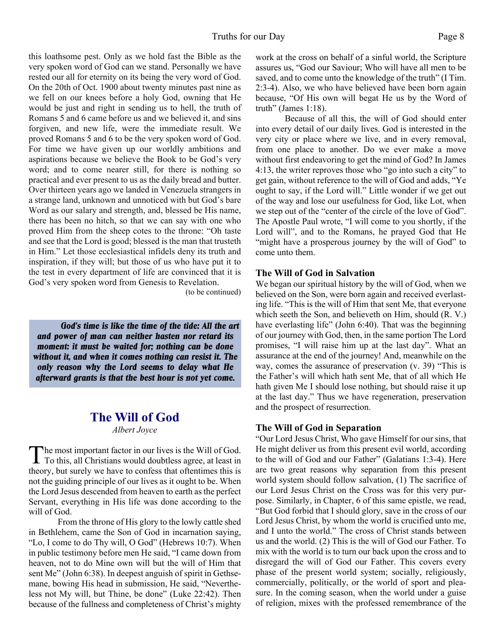this loathsome pest. Only as we hold fast the Bible as the very spoken word of God can we stand. Personally we have rested our all for eternity on its being the very word of God. On the 20th of Oct. 1900 about twenty minutes past nine as we fell on our knees before a holy God, owning that He would be just and right in sending us to hell, the truth of Romans 5 and 6 came before us and we believed it, and sins forgiven, and new life, were the immediate result. We proved Romans 5 and 6 to be the very spoken word of God. For time we have given up our worldly ambitions and aspirations because we believe the Book to be God's very word; and to come nearer still, for there is nothing so practical and ever present to us as the daily bread and butter. Over thirteen years ago we landed in Venezuela strangers in a strange land, unknown and unnoticed with but God's bare Word as our salary and strength, and, blessed be His name, there has been no hitch, so that we can say with one who proved Him from the sheep cotes to the throne: "Oh taste and see that the Lord is good; blessed is the man that trusteth in Him." Let those ecclesiastical infidels deny its truth and inspiration, if they will; but those of us who have put it to the test in every department of life are convinced that it is God's very spoken word from Genesis to Revelation.

(to be continued)

*God's time is like the time of the tide: All the art and power of man can neither hasten nor retard its moment: it must be waited for; nothing can be done without it, and when it comes nothing can resist it. The only reason why the Lord seems to delay what He afterward grants is that the best hour is not yet come.*

### **The Will of God**

*Albert Joyce*

The most important factor in our lives is the Will of God.<br>To this, all Christians would doubtless agree, at least in he most important factor in our lives is the Will of God. theory, but surely we have to confess that oftentimes this is not the guiding principle of our lives as it ought to be. When the Lord Jesus descended from heaven to earth as the perfect Servant, everything in His life was done according to the will of God.

 From the throne of His glory to the lowly cattle shed in Bethlehem, came the Son of God in incarnation saying, "Lo, I come to do Thy will, O God" (Hebrews 10:7). When in public testimony before men He said, "I came down from heaven, not to do Mine own will but the will of Him that sent Me" (John 6:38). In deepest anguish of spirit in Gethsemane, bowing His head in submission, He said, "Nevertheless not My will, but Thine, be done" (Luke 22:42). Then because of the fullness and completeness of Christ's mighty work at the cross on behalf of a sinful world, the Scripture assures us, "God our Saviour; Who will have all men to be saved, and to come unto the knowledge of the truth" (I Tim. 2:3-4). Also, we who have believed have been born again because, "Of His own will begat He us by the Word of truth" (James 1:18).

 Because of all this, the will of God should enter into every detail of our daily lives. God is interested in the very city or place where we live, and in every removal, from one place to another. Do we ever make a move without first endeavoring to get the mind of God? In James 4:13, the writer reproves those who "go into such a city" to get gain, without reference to the will of God and adds, "Ye ought to say, if the Lord will." Little wonder if we get out of the way and lose our usefulness for God, like Lot, when we step out of the "center of the circle of the love of God". The Apostle Paul wrote, "I will come to you shortly, if the Lord will", and to the Romans, he prayed God that He "might have a prosperous journey by the will of God" to come unto them.

#### **The Will of God in Salvation**

We began our spiritual history by the will of God, when we believed on the Son, were born again and received everlasting life. "This is the will of Him that sent Me, that everyone which seeth the Son, and believeth on Him, should (R. V.) have everlasting life" (John 6:40). That was the beginning of our journey with God, then, in the same portion The Lord promises, "I will raise him up at the last day". What an assurance at the end of the journey! And, meanwhile on the way, comes the assurance of preservation (v. 39) "This is the Father's will which hath sent Me, that of all which He hath given Me I should lose nothing, but should raise it up at the last day." Thus we have regeneration, preservation and the prospect of resurrection.

#### **The Will of God in Separation**

"Our Lord Jesus Christ, Who gave Himself for our sins, that He might deliver us from this present evil world, according to the will of God and our Father" (Galatians 1:3-4). Here are two great reasons why separation from this present world system should follow salvation, (1) The sacrifice of our Lord Jesus Christ on the Cross was for this very purpose. Similarly, in Chapter, 6 of this same epistle, we read, "But God forbid that I should glory, save in the cross of our Lord Jesus Christ, by whom the world is crucified unto me, and I unto the world." The cross of Christ stands between us and the world. (2) This is the will of God our Father. To mix with the world is to turn our back upon the cross and to disregard the will of God our Father. This covers every phase of the present world system; socially, religiously, commercially, politically, or the world of sport and pleasure. In the coming season, when the world under a guise of religion, mixes with the professed remembrance of the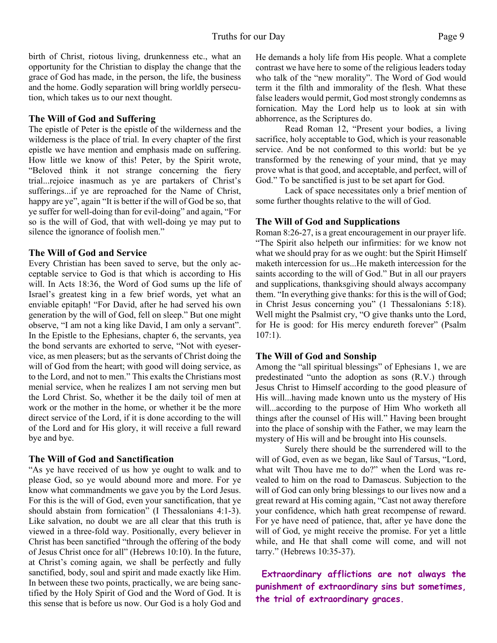birth of Christ, riotous living, drunkenness etc., what an opportunity for the Christian to display the change that the grace of God has made, in the person, the life, the business and the home. Godly separation will bring worldly persecution, which takes us to our next thought.

#### **The Will of God and Suffering**

The epistle of Peter is the epistle of the wilderness and the wilderness is the place of trial. In every chapter of the first epistle we have mention and emphasis made on suffering. How little we know of this! Peter, by the Spirit wrote, "Beloved think it not strange concerning the fiery trial...rejoice inasmuch as ye are partakers of Christ's sufferings...if ye are reproached for the Name of Christ, happy are ye", again "It is better if the will of God be so, that ye suffer for well-doing than for evil-doing" and again, "For so is the will of God, that with well-doing ye may put to silence the ignorance of foolish men."

#### **The Will of God and Service**

Every Christian has been saved to serve, but the only acceptable service to God is that which is according to His will. In Acts 18:36, the Word of God sums up the life of Israel's greatest king in a few brief words, yet what an enviable epitaph! "For David, after he had served his own generation by the will of God, fell on sleep." But one might observe, "I am not a king like David, I am only a servant". In the Epistle to the Ephesians, chapter 6, the servants, yea the bond servants are exhorted to serve, "Not with eyeservice, as men pleasers; but as the servants of Christ doing the will of God from the heart; with good will doing service, as to the Lord, and not to men." This exalts the Christians most menial service, when he realizes I am not serving men but the Lord Christ. So, whether it be the daily toil of men at work or the mother in the home, or whether it be the more direct service of the Lord, if it is done according to the will of the Lord and for His glory, it will receive a full reward bye and bye.

#### **The Will of God and Sanctification**

"As ye have received of us how ye ought to walk and to please God, so ye would abound more and more. For ye know what commandments we gave you by the Lord Jesus. For this is the will of God, even your sanctification, that ye should abstain from fornication" (I Thessalonians 4:1-3). Like salvation, no doubt we are all clear that this truth is viewed in a three-fold way. Positionally, every believer in Christ has been sanctified "through the offering of the body of Jesus Christ once for all" (Hebrews 10:10). In the future, at Christ's coming again, we shall be perfectly and fully sanctified, body, soul and spirit and made exactly like Him. In between these two points, practically, we are being sanctified by the Holy Spirit of God and the Word of God. It is this sense that is before us now. Our God is a holy God and He demands a holy life from His people. What a complete contrast we have here to some of the religious leaders today who talk of the "new morality". The Word of God would term it the filth and immorality of the flesh. What these false leaders would permit, God most strongly condemns as fornication. May the Lord help us to look at sin with abhorrence, as the Scriptures do.

 Read Roman 12, "Present your bodies, a living sacrifice, holy acceptable to God, which is your reasonable service. And be not conformed to this world: but be ye transformed by the renewing of your mind, that ye may prove what is that good, and acceptable, and perfect, will of God." To be sanctified is just to be set apart for God.

 Lack of space necessitates only a brief mention of some further thoughts relative to the will of God.

#### **The Will of God and Supplications**

Roman 8:26-27, is a great encouragement in our prayer life. "The Spirit also helpeth our infirmities: for we know not what we should pray for as we ought: but the Spirit Himself maketh intercession for us...He maketh intercession for the saints according to the will of God." But in all our prayers and supplications, thanksgiving should always accompany them. "In everything give thanks: for this is the will of God; in Christ Jesus concerning you" (1 Thessalonians 5:18). Well might the Psalmist cry, "O give thanks unto the Lord, for He is good: for His mercy endureth forever" (Psalm 107:1).

#### **The Will of God and Sonship**

Among the "all spiritual blessings" of Ephesians 1, we are predestinated "unto the adoption as sons (R.V.) through Jesus Christ to Himself according to the good pleasure of His will...having made known unto us the mystery of His will...according to the purpose of Him Who worketh all things after the counsel of His will." Having been brought into the place of sonship with the Father, we may learn the mystery of His will and be brought into His counsels.

 Surely there should be the surrendered will to the will of God, even as we began, like Saul of Tarsus, "Lord, what wilt Thou have me to do?" when the Lord was revealed to him on the road to Damascus. Subjection to the will of God can only bring blessings to our lives now and a great reward at His coming again, "Cast not away therefore your confidence, which hath great recompense of reward. For ye have need of patience, that, after ye have done the will of God, ye might receive the promise. For yet a little while, and He that shall come will come, and will not tarry." (Hebrews 10:35-37).

 **Extraordinary afflictions are not always the punishment of extraordinary sins but sometimes, the trial of extraordinary graces.**